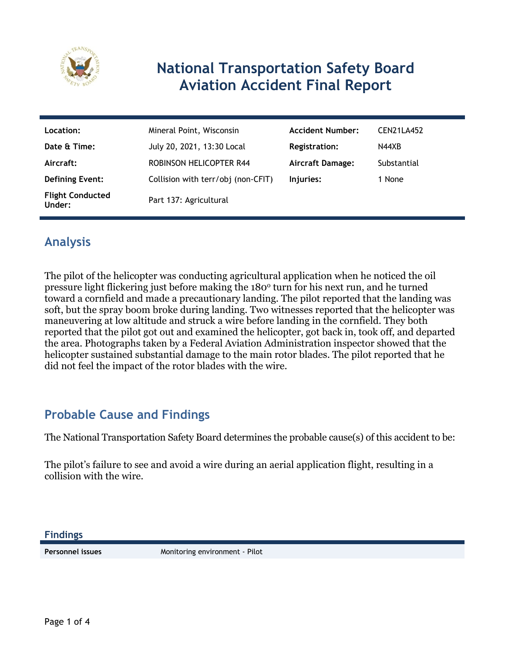

# **National Transportation Safety Board Aviation Accident Final Report**

| Location:                         | Mineral Point, Wisconsin           | <b>Accident Number:</b> | CEN21LA452  |
|-----------------------------------|------------------------------------|-------------------------|-------------|
| Date & Time:                      | July 20, 2021, 13:30 Local         | <b>Registration:</b>    | N44XB       |
| Aircraft:                         | <b>ROBINSON HELICOPTER R44</b>     | <b>Aircraft Damage:</b> | Substantial |
| <b>Defining Event:</b>            | Collision with terr/obj (non-CFIT) | Injuries:               | 1 None      |
| <b>Flight Conducted</b><br>Under: | Part 137: Agricultural             |                         |             |

## **Analysis**

The pilot of the helicopter was conducting agricultural application when he noticed the oil pressure light flickering just before making the 180<sup>°</sup> turn for his next run, and he turned toward a cornfield and made a precautionary landing. The pilot reported that the landing was soft, but the spray boom broke during landing. Two witnesses reported that the helicopter was maneuvering at low altitude and struck a wire before landing in the cornfield. They both reported that the pilot got out and examined the helicopter, got back in, took off, and departed the area. Photographs taken by a Federal Aviation Administration inspector showed that the helicopter sustained substantial damage to the main rotor blades. The pilot reported that he did not feel the impact of the rotor blades with the wire.

## **Probable Cause and Findings**

The National Transportation Safety Board determines the probable cause(s) of this accident to be:

The pilot's failure to see and avoid a wire during an aerial application flight, resulting in a collision with the wire.

**Findings**

**Personnel issues** Monitoring environment - Pilot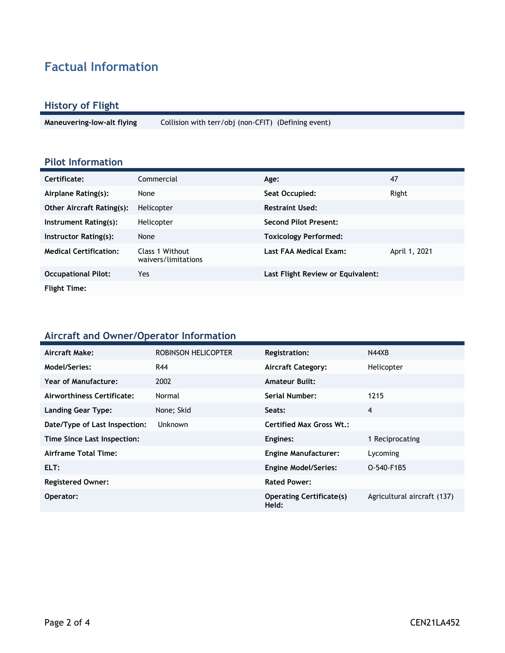## **Factual Information**

#### **History of Flight**

**Maneuvering-low-alt flying** Collision with terr/obj (non-CFIT) (Defining event)

### **Pilot Information**

| Certificate:                     | Commercial                             | Age:                              | 47            |
|----------------------------------|----------------------------------------|-----------------------------------|---------------|
| Airplane Rating(s):              | None                                   | Seat Occupied:                    | Right         |
| <b>Other Aircraft Rating(s):</b> | Helicopter                             | <b>Restraint Used:</b>            |               |
| Instrument Rating(s):            | Helicopter                             | <b>Second Pilot Present:</b>      |               |
| Instructor Rating(s):            | None                                   | <b>Toxicology Performed:</b>      |               |
| <b>Medical Certification:</b>    | Class 1 Without<br>waivers/limitations | Last FAA Medical Exam:            | April 1, 2021 |
| <b>Occupational Pilot:</b>       | Yes.                                   | Last Flight Review or Equivalent: |               |
| <b>Flight Time:</b>              |                                        |                                   |               |

#### **Aircraft and Owner/Operator Information**

| Aircraft Make:                | ROBINSON HELICOPTER | <b>Registration:</b>                     | N44XB                       |
|-------------------------------|---------------------|------------------------------------------|-----------------------------|
| Model/Series:                 | R44                 | <b>Aircraft Category:</b>                | Helicopter                  |
| Year of Manufacture:          | 2002                | <b>Amateur Built:</b>                    |                             |
| Airworthiness Certificate:    | Normal              | <b>Serial Number:</b>                    | 1215                        |
| <b>Landing Gear Type:</b>     | None; Skid          | Seats:                                   | 4                           |
| Date/Type of Last Inspection: | <b>Unknown</b>      | <b>Certified Max Gross Wt.:</b>          |                             |
| Time Since Last Inspection:   |                     | Engines:                                 | 1 Reciprocating             |
| Airframe Total Time:          |                     | <b>Engine Manufacturer:</b>              | Lycoming                    |
| ELT:                          |                     | <b>Engine Model/Series:</b>              | O-540-F1B5                  |
| <b>Registered Owner:</b>      |                     | <b>Rated Power:</b>                      |                             |
| Operator:                     |                     | <b>Operating Certificate(s)</b><br>Held: | Agricultural aircraft (137) |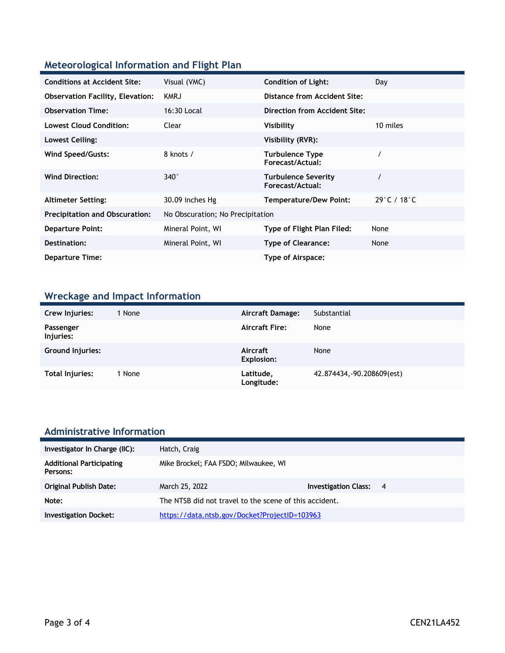### **Meteorological Information and Flight Plan**

| <b>Conditions at Accident Site:</b>     | Visual (VMC)                     | <b>Condition of Light:</b>                     | Day                              |
|-----------------------------------------|----------------------------------|------------------------------------------------|----------------------------------|
| <b>Observation Facility, Elevation:</b> | <b>KMRJ</b>                      | Distance from Accident Site:                   |                                  |
| <b>Observation Time:</b>                | 16:30 Local                      | Direction from Accident Site:                  |                                  |
| <b>Lowest Cloud Condition:</b>          | Clear                            | Visibility                                     | 10 miles                         |
| Lowest Ceiling:                         |                                  | Visibility (RVR):                              |                                  |
| Wind Speed/Gusts:                       | 8 knots /                        | <b>Turbulence Type</b><br>Forecast/Actual:     |                                  |
| <b>Wind Direction:</b>                  | $340^\circ$                      | <b>Turbulence Severity</b><br>Forecast/Actual: |                                  |
| <b>Altimeter Setting:</b>               | 30.09 inches Hg                  | <b>Temperature/Dew Point:</b>                  | $29^{\circ}$ C / 18 $^{\circ}$ C |
| <b>Precipitation and Obscuration:</b>   | No Obscuration; No Precipitation |                                                |                                  |
| <b>Departure Point:</b>                 | Mineral Point, WI                | Type of Flight Plan Filed:                     | None                             |
| Destination:                            | Mineral Point, WI                | <b>Type of Clearance:</b>                      | None                             |
| <b>Departure Time:</b>                  |                                  | Type of Airspace:                              |                                  |

## **Wreckage and Impact Information**

| Crew Injuries:          | 1 None | Aircraft Damage:              | Substantial                |
|-------------------------|--------|-------------------------------|----------------------------|
| Passenger<br>Injuries:  |        | <b>Aircraft Fire:</b>         | None                       |
| <b>Ground Injuries:</b> |        | Aircraft<br><b>Explosion:</b> | None                       |
| Total Injuries:         | 1 None | Latitude,<br>Longitude:       | 42.874434, -90.208609(est) |

# **Administrative Information**

| Investigator In Charge (IIC):               | Hatch, Craig                                           |                               |  |
|---------------------------------------------|--------------------------------------------------------|-------------------------------|--|
| <b>Additional Participating</b><br>Persons: | Mike Brockel; FAA FSDO; Milwaukee, WI                  |                               |  |
| <b>Original Publish Date:</b>               | March 25, 2022                                         | <b>Investigation Class: 4</b> |  |
| Note:                                       | The NTSB did not travel to the scene of this accident. |                               |  |
| <b>Investigation Docket:</b>                | https://data.ntsb.gov/Docket?ProjectID=103963          |                               |  |